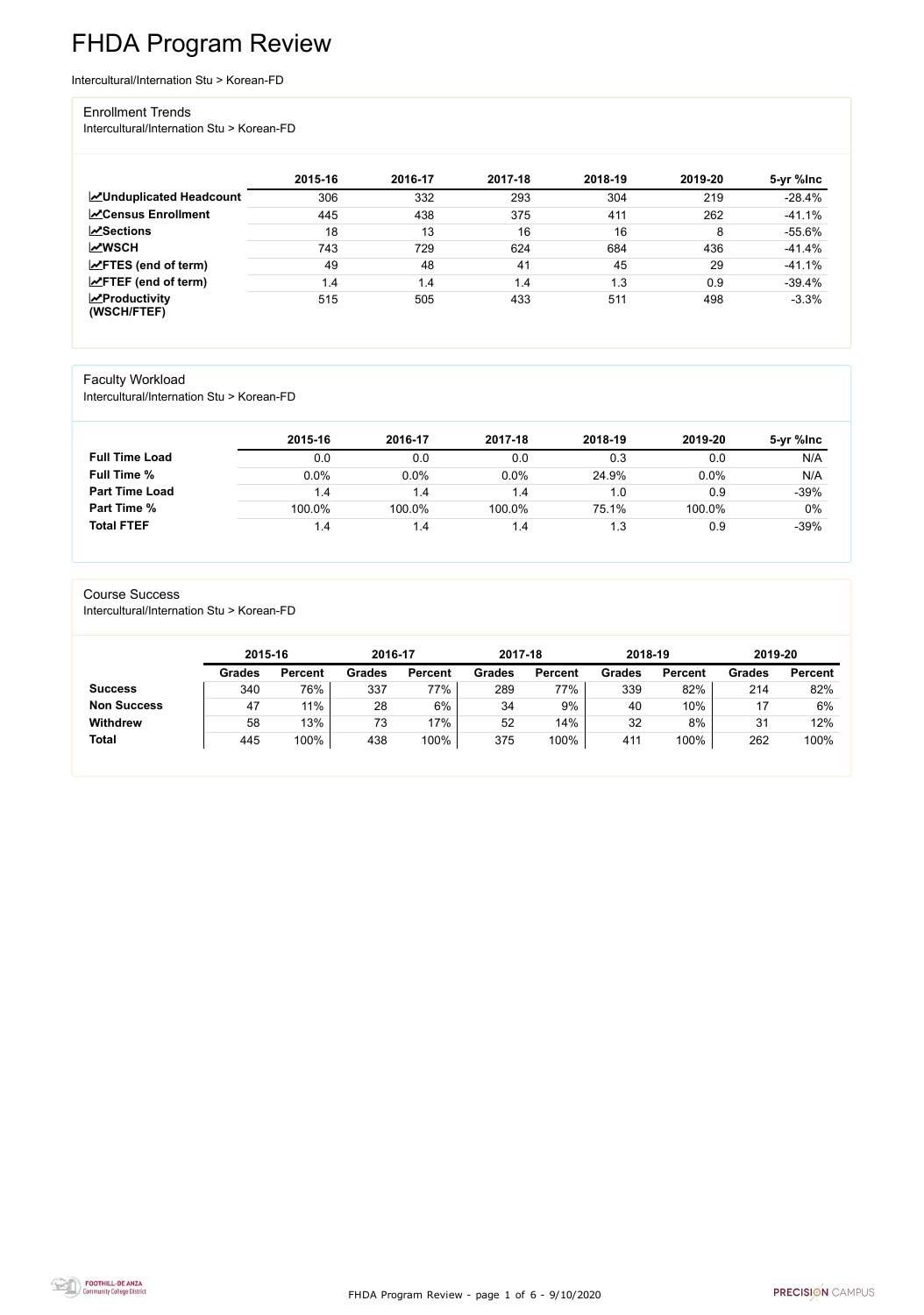FHDA Program Review - page 1 of 6 - 9/10/2020



# FHDA Program Review

Intercultural/Internation Stu > Korean-FD

#### Enrollment Trends

Intercultural/Internation Stu > Korean-FD

|                                                  | 2015-16 | 2016-17 | 2017-18 | 2018-19 | 2019-20 | 5-yr %lnc |
|--------------------------------------------------|---------|---------|---------|---------|---------|-----------|
| <b>ZUnduplicated Headcount</b>                   | 306     | 332     | 293     | 304     | 219     | $-28.4%$  |
| <b>ZCensus Enrollment</b>                        | 445     | 438     | 375     | 411     | 262     | $-41.1%$  |
| <b>ZSections</b>                                 | 18      | 13      | 16      | 16      | 8       | $-55.6%$  |
| <b>MWSCH</b>                                     | 743     | 729     | 624     | 684     | 436     | $-41.4%$  |
| $\angle$ FTES (end of term)                      | 49      | 48      | 41      | 45      | 29      | $-41.1%$  |
| $\angle$ FTEF (end of term)                      | 1.4     | 1.4     | 1.4     | .3      | 0.9     | $-39.4%$  |
| $\sqrt{\frac{1}{2}}$ Productivity<br>(WSCH/FTEF) | 515     | 505     | 433     | 511     | 498     | $-3.3%$   |

## Faculty Workload

Intercultural/Internation Stu > Korean-FD

|                       | 2015-16 | 2016-17 | 2017-18 | 2018-19 | 2019-20 | 5-yr %lnc |
|-----------------------|---------|---------|---------|---------|---------|-----------|
| <b>Full Time Load</b> | 0.0     | 0.0     | 0.0     | 0.3     | 0.0     | N/A       |
| <b>Full Time %</b>    | 0.0%    | 0.0%    | 0.0%    | 24.9%   | 0.0%    | N/A       |
| <b>Part Time Load</b> | 1.4     | 1.4     | 1.4     | 1.0     | 0.9     | $-39%$    |
| <b>Part Time %</b>    | 100.0%  | 100.0%  | 100.0%  | 75.1%   | 100.0%  | $0\%$     |
| <b>Total FTEF</b>     | 1.4     | 1.4     | 1.4     | 1.3     | 0.9     | $-39%$    |

#### Course Success

Intercultural/Internation Stu > Korean-FD

|               |                | 2016-17       |                | 2017-18       |                | 2018-19       |                | 2019-20       |                |
|---------------|----------------|---------------|----------------|---------------|----------------|---------------|----------------|---------------|----------------|
| <b>Grades</b> | <b>Percent</b> | <b>Grades</b> | <b>Percent</b> | <b>Grades</b> | <b>Percent</b> | <b>Grades</b> | <b>Percent</b> | <b>Grades</b> | <b>Percent</b> |
| 340           | 76%            | 337           | 77%            | 289           | 77%            | 339           | 82%            | 214           | 82%            |
| 47            | 11%            | 28            | 6%             | 34            | 9%             | 40            | 10%            |               | 6%             |
| 58            | 13%            | 73            | 7%             | 52            | 14%            | 32            | 8%             | 31            | 12%            |
| 445           | 100%           | 438           | 100%           | 375           | 100%           | 411           | 100%           | 262           | 100%           |
|               |                |               |                |               |                |               |                |               |                |

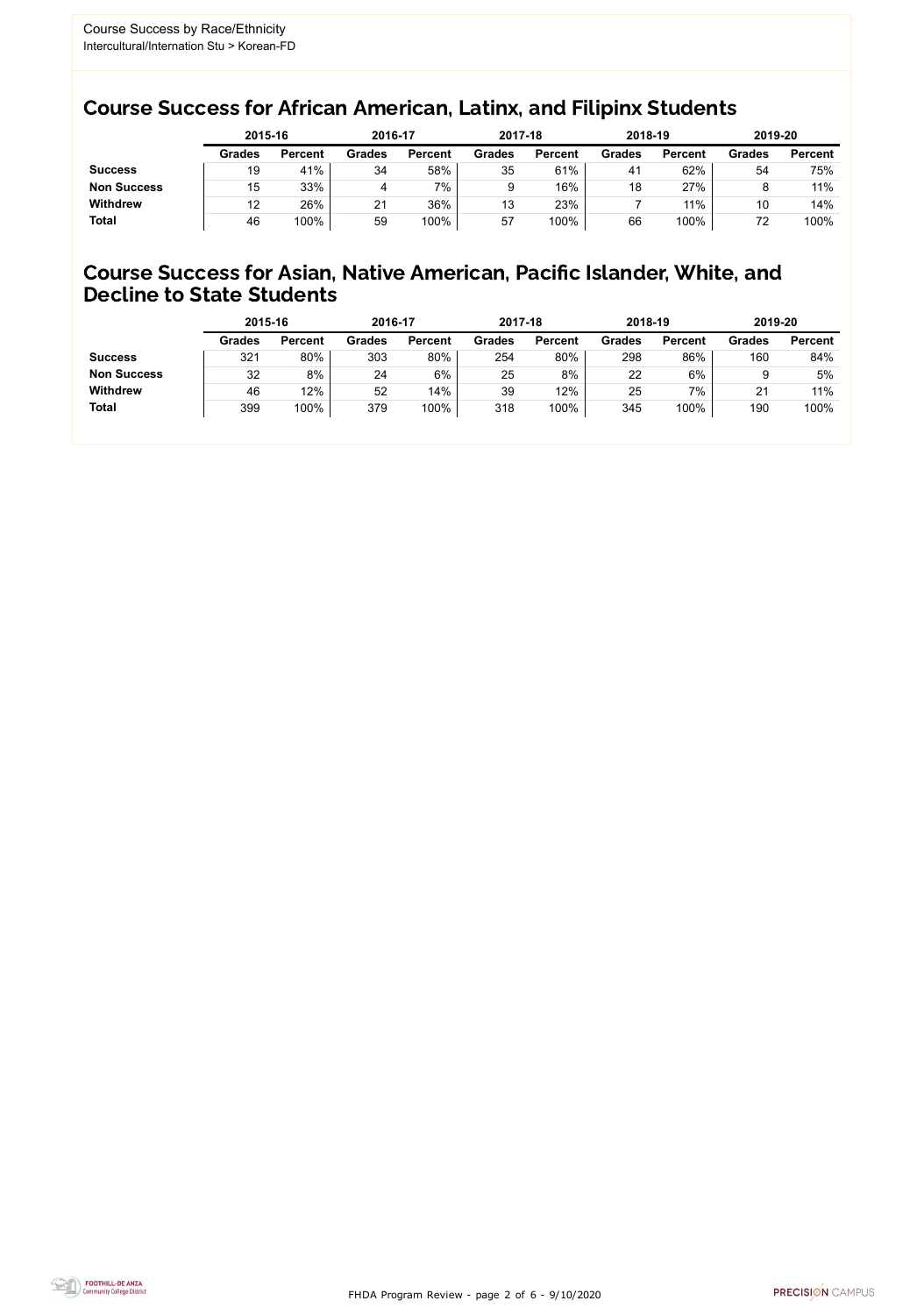FHDA Program Review - page 2 of 6 - 9/10/2020



## Course Success for African American, Latinx, and Filipinx Students

## Course Success for Asian, Native American, Pacific Islander, White, and Decline to State Students

|                    | 2015-16       |                | 2016-17       |                |               | 2017-18        |               | 2018-19        | 2019-20       |                |
|--------------------|---------------|----------------|---------------|----------------|---------------|----------------|---------------|----------------|---------------|----------------|
|                    | <b>Grades</b> | <b>Percent</b> | <b>Grades</b> | <b>Percent</b> | <b>Grades</b> | <b>Percent</b> | <b>Grades</b> | <b>Percent</b> | <b>Grades</b> | <b>Percent</b> |
| <b>Success</b>     | 19            | 41%            | 34            | 58%            | 35            | 61%            | 41            | 62%            | 54            | 75%            |
| <b>Non Success</b> | 15            | 33%            | 4             | 7%             |               | 16%            | 18            | 27%            |               | 11%            |
| <b>Withdrew</b>    | 12            | 26%            | 21            | 36%            | 13            | 23%            |               | $11\%$         | 10            | 14%            |
| <b>Total</b>       | 46            | 100%           | 59            | 100%           | 57            | 100%           | 66            | 100%           | 72            | 100%           |

|                    | 2015-16       |                | 2016-17       |                | 2017-18       |                | 2018-19       |                | 2019-20       |                |
|--------------------|---------------|----------------|---------------|----------------|---------------|----------------|---------------|----------------|---------------|----------------|
|                    | <b>Grades</b> | <b>Percent</b> | <b>Grades</b> | <b>Percent</b> | <b>Grades</b> | <b>Percent</b> | <b>Grades</b> | <b>Percent</b> | <b>Grades</b> | <b>Percent</b> |
| <b>Success</b>     | 321           | 80%            | 303           | 80%            | 254           | 80%            | 298           | 86%            | 160           | 84%            |
| <b>Non Success</b> | 32            | 8%             | 24            | 6%             | 25            | 8%             | 22            | 6%             |               | 5%             |
| <b>Withdrew</b>    | 46            | 12%            | 52            | 14%            | 39            | 12%            | 25            | 7%             | 21            | 11%            |
| <b>Total</b>       | 399           | 100%           | 379           | 100%           | 318           | 100%           | 345           | 100%           | 190           | 100%           |
|                    |               |                |               |                |               |                |               |                |               |                |

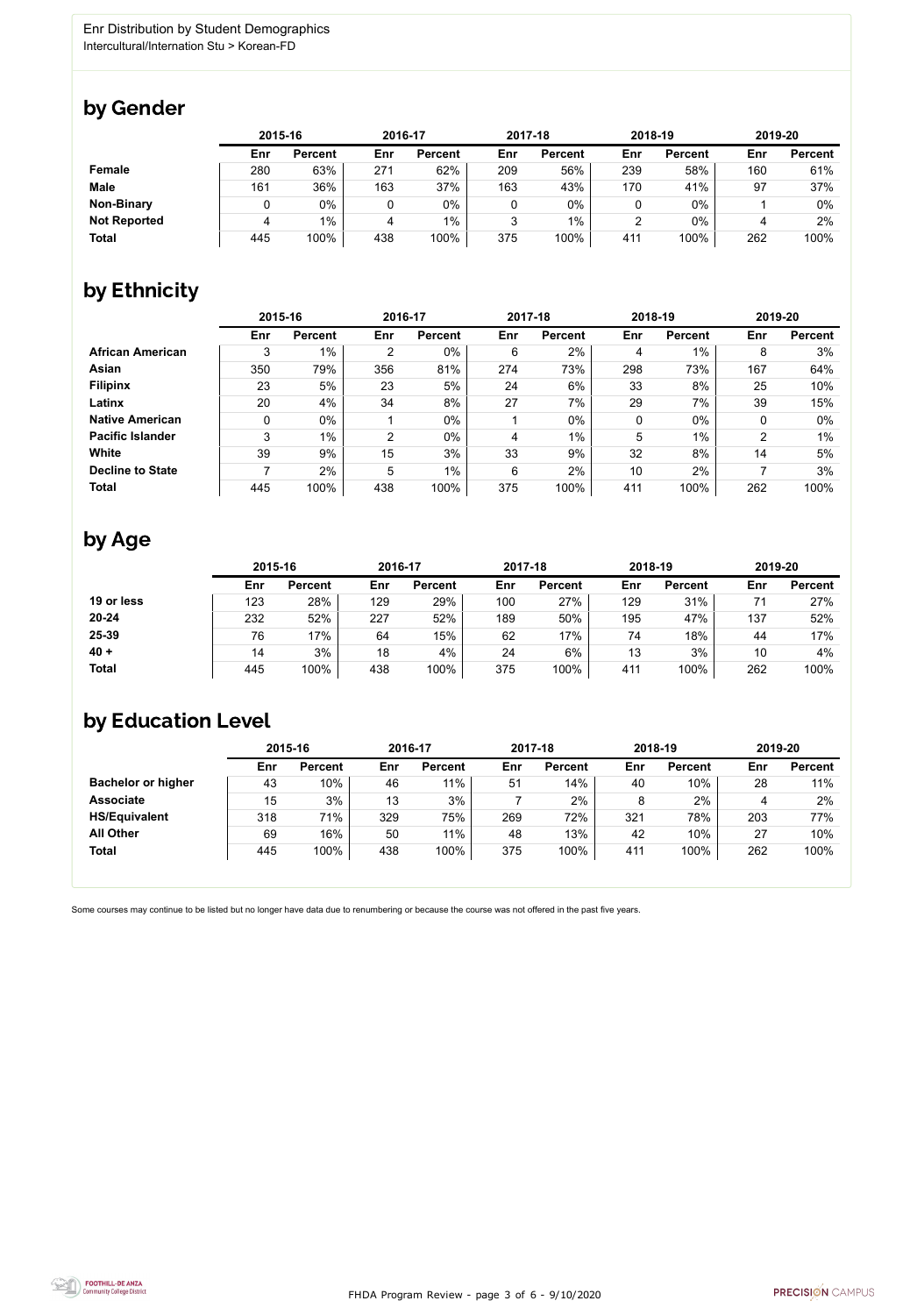FHDA Program Review - page 3 of 6 - 9/10/2020



Some courses may continue to be listed but no longer have data due to renumbering or because the course was not offered in the past five years.



# by Gender

|                     |     | 2015-16        |     | 2016-17        |     | 2017-18        | 2018-19 |                | 2019-20 |                |
|---------------------|-----|----------------|-----|----------------|-----|----------------|---------|----------------|---------|----------------|
|                     | Enr | <b>Percent</b> | Enr | <b>Percent</b> | Enr | <b>Percent</b> | Enr     | <b>Percent</b> | Enr     | <b>Percent</b> |
| <b>Female</b>       | 280 | 63%            | 271 | 62%            | 209 | 56%            | 239     | 58%            | 160     | 61%            |
| <b>Male</b>         | 161 | 36%            | 163 | 37%            | 163 | 43%            | 170     | 41%            | 97      | 37%            |
| <b>Non-Binary</b>   |     | 0%             |     | 0%             |     | 0%             |         | $0\%$          |         | 0%             |
| <b>Not Reported</b> | Δ   | $1\%$          | 4   | 1%             |     | $1\%$          | ◠       | $0\%$          |         | 2%             |
| <b>Total</b>        | 445 | 100%           | 438 | 100%           | 375 | 100%           | 411     | 100%           | 262     | 100%           |

# by Ethnicity

|                         | 2015-16 |                |                | 2016-17        |     | 2017-18        |     | 2018-19        | 2019-20 |                |
|-------------------------|---------|----------------|----------------|----------------|-----|----------------|-----|----------------|---------|----------------|
|                         | Enr     | <b>Percent</b> | Enr            | <b>Percent</b> | Enr | <b>Percent</b> | Enr | <b>Percent</b> | Enr     | <b>Percent</b> |
| <b>African American</b> | 3       | $1\%$          | $\overline{2}$ | 0%             | 6   | 2%             | 4   | $1\%$          | 8       | 3%             |
| <b>Asian</b>            | 350     | 79%            | 356            | 81%            | 274 | 73%            | 298 | 73%            | 167     | 64%            |
| <b>Filipinx</b>         | 23      | 5%             | 23             | 5%             | 24  | 6%             | 33  | 8%             | 25      | 10%            |
| Latinx                  | 20      | 4%             | 34             | 8%             | 27  | 7%             | 29  | 7%             | 39      | 15%            |
| <b>Native American</b>  | 0       | $0\%$          |                | $0\%$          |     | $0\%$          | 0   | $0\%$          | 0       | $0\%$          |
| <b>Pacific Islander</b> | 3       | $1\%$          | $\overline{2}$ | $0\%$          | 4   | $1\%$          | 5   | $1\%$          | າ       | $1\%$          |
| <b>White</b>            | 39      | 9%             | 15             | 3%             | 33  | 9%             | 32  | 8%             | 14      | 5%             |
| <b>Decline to State</b> |         | 2%             | 5              | $1\%$          | 6   | 2%             | 10  | 2%             |         | 3%             |
| <b>Total</b>            | 445     | 100%           | 438            | 100%           | 375 | 100%           | 411 | 100%           | 262     | 100%           |

# by Age

|              | 2015-16 |                |     | 2016-17        |     | 2017-18        | 2018-19 |                | 2019-20 |                |
|--------------|---------|----------------|-----|----------------|-----|----------------|---------|----------------|---------|----------------|
|              | Enr     | <b>Percent</b> | Enr | <b>Percent</b> | Enr | <b>Percent</b> | Enr     | <b>Percent</b> | Enr     | <b>Percent</b> |
| 19 or less   | 123     | 28%            | 129 | 29%            | 100 | 27%            | 129     | 31%            | 71      | 27%            |
| $20 - 24$    | 232     | 52%            | 227 | 52%            | 189 | 50%            | 195     | 47%            | 137     | 52%            |
| 25-39        | 76      | 17%            | 64  | 15%            | 62  | 17%            | 74      | 18%            | 44      | 17%            |
| $40 +$       | 14      | 3%             | 18  | 4%             | 24  | 6%             | 13      | 3%             | 10      | 4%             |
| <b>Total</b> | 445     | 100%           | 438 | 100%           | 375 | 100%           | 411     | 100%           | 262     | 100%           |

# by Education Level

|                           | 2015-16 |                |     | 2016-17        |     | 2017-18        | 2018-19 |                | 2019-20 |                |
|---------------------------|---------|----------------|-----|----------------|-----|----------------|---------|----------------|---------|----------------|
|                           | Enr     | <b>Percent</b> | Enr | <b>Percent</b> | Enr | <b>Percent</b> | Enr     | <b>Percent</b> | Enr     | <b>Percent</b> |
| <b>Bachelor or higher</b> | 43      | 10%            | 46  | 11%            | 51  | 14%            | 40      | 10%            | 28      | 11%            |
| <b>Associate</b>          | 15      | 3%             | 13  | 3%             |     | 2%             |         | 2%             | 4       | 2%             |
| <b>HS/Equivalent</b>      | 318     | 71%            | 329 | 75%            | 269 | 72%            | 321     | 78%            | 203     | 77%            |
| <b>All Other</b>          | 69      | 16%            | 50  | 11%            | 48  | 13%            | 42      | 10%            | 27      | 10%            |
| <b>Total</b>              | 445     | 100%           | 438 | 100%           | 375 | 100%           | 411     | 100%           | 262     | 100%           |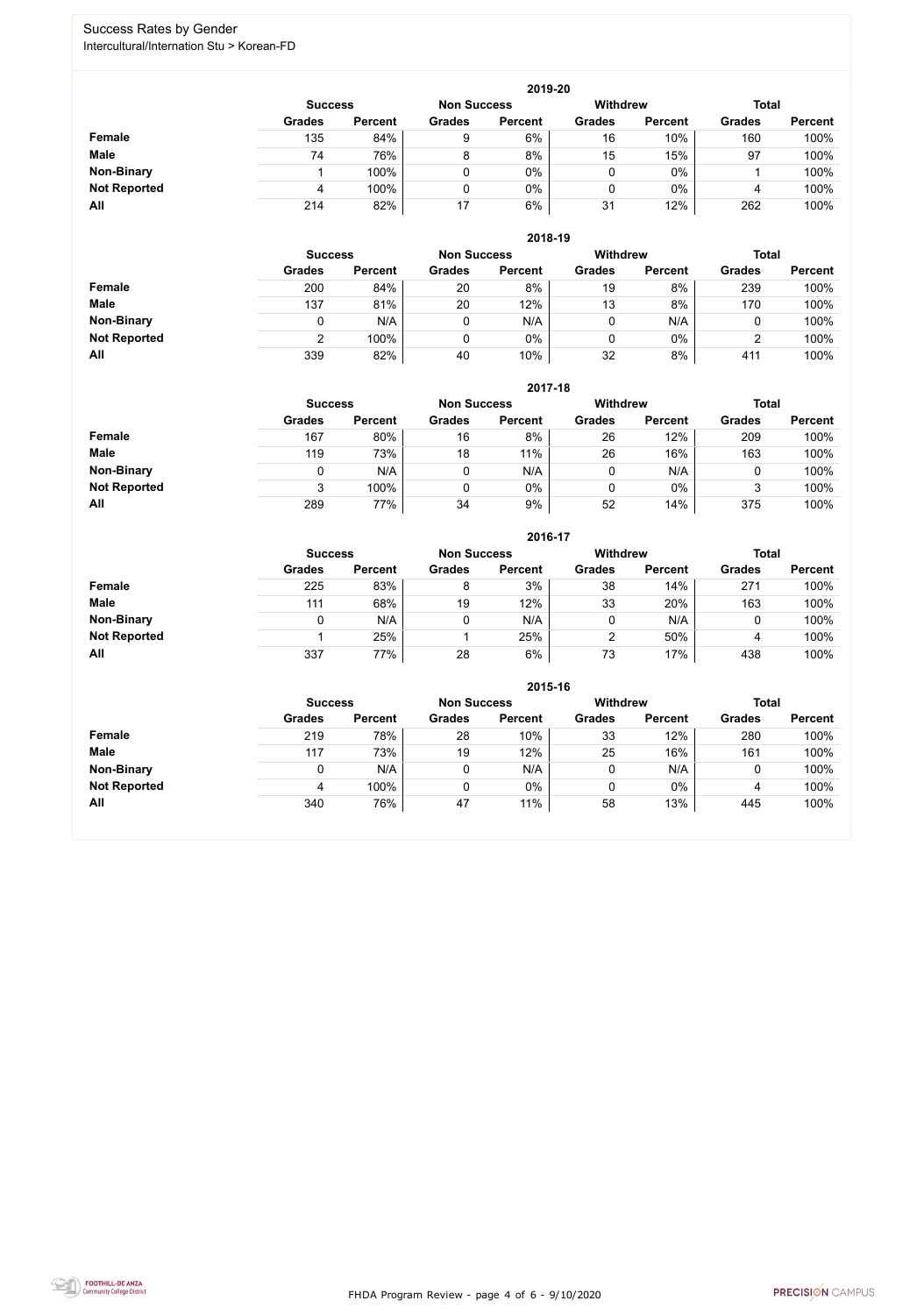FHDA Program Review - page 4 of 6 - 9/10/2020



## Success Rates by Gender Intercultural/Internation Stu > Korean-FD

|                     | 2019-20        |                |                    |                |                 |                |               |                |  |  |  |  |  |
|---------------------|----------------|----------------|--------------------|----------------|-----------------|----------------|---------------|----------------|--|--|--|--|--|
|                     | <b>Success</b> |                | <b>Non Success</b> |                | <b>Withdrew</b> |                | <b>Total</b>  |                |  |  |  |  |  |
|                     | <b>Grades</b>  | <b>Percent</b> | <b>Grades</b>      | <b>Percent</b> | <b>Grades</b>   | <b>Percent</b> | <b>Grades</b> | <b>Percent</b> |  |  |  |  |  |
| <b>Female</b>       | 135            | 84%            | 9                  | 6%             | 16              | 10%            | 160           | 100%           |  |  |  |  |  |
| <b>Male</b>         | 74             | 76%            | 8                  | 8%             | 15              | 15%            | 97            | 100%           |  |  |  |  |  |
| <b>Non-Binary</b>   |                | 100%           |                    | 0%             | 0               | $0\%$          |               | 100%           |  |  |  |  |  |
| <b>Not Reported</b> | 4              | 100%           |                    | 0%             | 0               | $0\%$          | 4             | 100%           |  |  |  |  |  |
| All                 | 214            | 82%            | 17                 | 6%             | 31              | 12%            | 262           | 100%           |  |  |  |  |  |

|                     |                | 2018-19        |                    |                |                 |                |               |                |  |  |  |  |  |  |
|---------------------|----------------|----------------|--------------------|----------------|-----------------|----------------|---------------|----------------|--|--|--|--|--|--|
|                     | <b>Success</b> |                | <b>Non Success</b> |                | <b>Withdrew</b> |                | <b>Total</b>  |                |  |  |  |  |  |  |
|                     | <b>Grades</b>  | <b>Percent</b> | <b>Grades</b>      | <b>Percent</b> | <b>Grades</b>   | <b>Percent</b> | <b>Grades</b> | <b>Percent</b> |  |  |  |  |  |  |
| Female              | 200            | 84%            | 20                 | 8%             | 19              | 8%             | 239           | 100%           |  |  |  |  |  |  |
| <b>Male</b>         | 137            | 81%            | 20                 | 12%            | 13              | 8%             | 170           | 100%           |  |  |  |  |  |  |
| <b>Non-Binary</b>   |                | N/A            | 0                  | N/A            | 0               | N/A            | U             | 100%           |  |  |  |  |  |  |
| <b>Not Reported</b> | ົ              | 100%           |                    | $0\%$          | 0               | $0\%$          | າ<br>∠        | 100%           |  |  |  |  |  |  |
| All                 | 339            | 82%            | 40                 | 10%            | 32              | 8%             | 411           | 100%           |  |  |  |  |  |  |

|                     |               | 2017-18                              |               |                |               |                 |               |                |  |  |  |  |  |  |
|---------------------|---------------|--------------------------------------|---------------|----------------|---------------|-----------------|---------------|----------------|--|--|--|--|--|--|
|                     |               | <b>Non Success</b><br><b>Success</b> |               |                |               | <b>Withdrew</b> | <b>Total</b>  |                |  |  |  |  |  |  |
|                     | <b>Grades</b> | <b>Percent</b>                       | <b>Grades</b> | <b>Percent</b> | <b>Grades</b> | <b>Percent</b>  | <b>Grades</b> | <b>Percent</b> |  |  |  |  |  |  |
| <b>Female</b>       | 167           | 80%                                  | 16            | 8%             | 26            | 12%             | 209           | 100%           |  |  |  |  |  |  |
| <b>Male</b>         | 119           | 73%                                  | 18            | 11%            | 26            | 16%             | 163           | 100%           |  |  |  |  |  |  |
| <b>Non-Binary</b>   | 0             | N/A                                  |               | N/A            | 0             | N/A             | 0             | 100%           |  |  |  |  |  |  |
| <b>Not Reported</b> | 3             | 100%                                 |               | 0%             | 0             | $0\%$           | 3             | 100%           |  |  |  |  |  |  |
| All                 | 289           | 77%                                  | 34            | 9%             | 52            | 14%             | 375           | 100%           |  |  |  |  |  |  |

|                     |               | 2016-17                              |               |                |               |                 |               |                |  |  |
|---------------------|---------------|--------------------------------------|---------------|----------------|---------------|-----------------|---------------|----------------|--|--|
|                     |               | <b>Non Success</b><br><b>Success</b> |               |                |               | <b>Withdrew</b> | <b>Total</b>  |                |  |  |
|                     | <b>Grades</b> | <b>Percent</b>                       | <b>Grades</b> | <b>Percent</b> | <b>Grades</b> | <b>Percent</b>  | <b>Grades</b> | <b>Percent</b> |  |  |
| Female              | 225           | 83%                                  | 8             | 3%             | 38            | 14%             | 271           | 100%           |  |  |
| <b>Male</b>         | 111           | 68%                                  | 19            | 12%            | 33            | 20%             | 163           | 100%           |  |  |
| <b>Non-Binary</b>   | 0             | N/A                                  |               | N/A            | 0             | N/A             |               | 100%           |  |  |
| <b>Not Reported</b> |               | 25%                                  |               | 25%            | 2             | 50%             | 4             | 100%           |  |  |
| All                 | 337           | 77%                                  | 28            | 6%             | 73            | 17%             | 438           | 100%           |  |  |

|                     |                                      |                |               | 2015-16        |                 |                |               |                |
|---------------------|--------------------------------------|----------------|---------------|----------------|-----------------|----------------|---------------|----------------|
|                     | <b>Non Success</b><br><b>Success</b> |                |               |                | <b>Withdrew</b> |                | <b>Total</b>  |                |
|                     | <b>Grades</b>                        | <b>Percent</b> | <b>Grades</b> | <b>Percent</b> | <b>Grades</b>   | <b>Percent</b> | <b>Grades</b> | <b>Percent</b> |
| Female              | 219                                  | 78%            | 28            | 10%            | 33              | 12%            | 280           | 100%           |
| <b>Male</b>         | 117                                  | 73%            | 19            | 12%            | 25              | 16%            | 161           | 100%           |
| <b>Non-Binary</b>   |                                      | N/A            | 0             | N/A            |                 | N/A            |               | 100%           |
| <b>Not Reported</b> |                                      | 100%           | 0             | 0%             |                 | 0%             | 4             | 100%           |
| All                 | 340                                  | 76%            | 47            | 11%            | 58              | 13%            | 445           | 100%           |

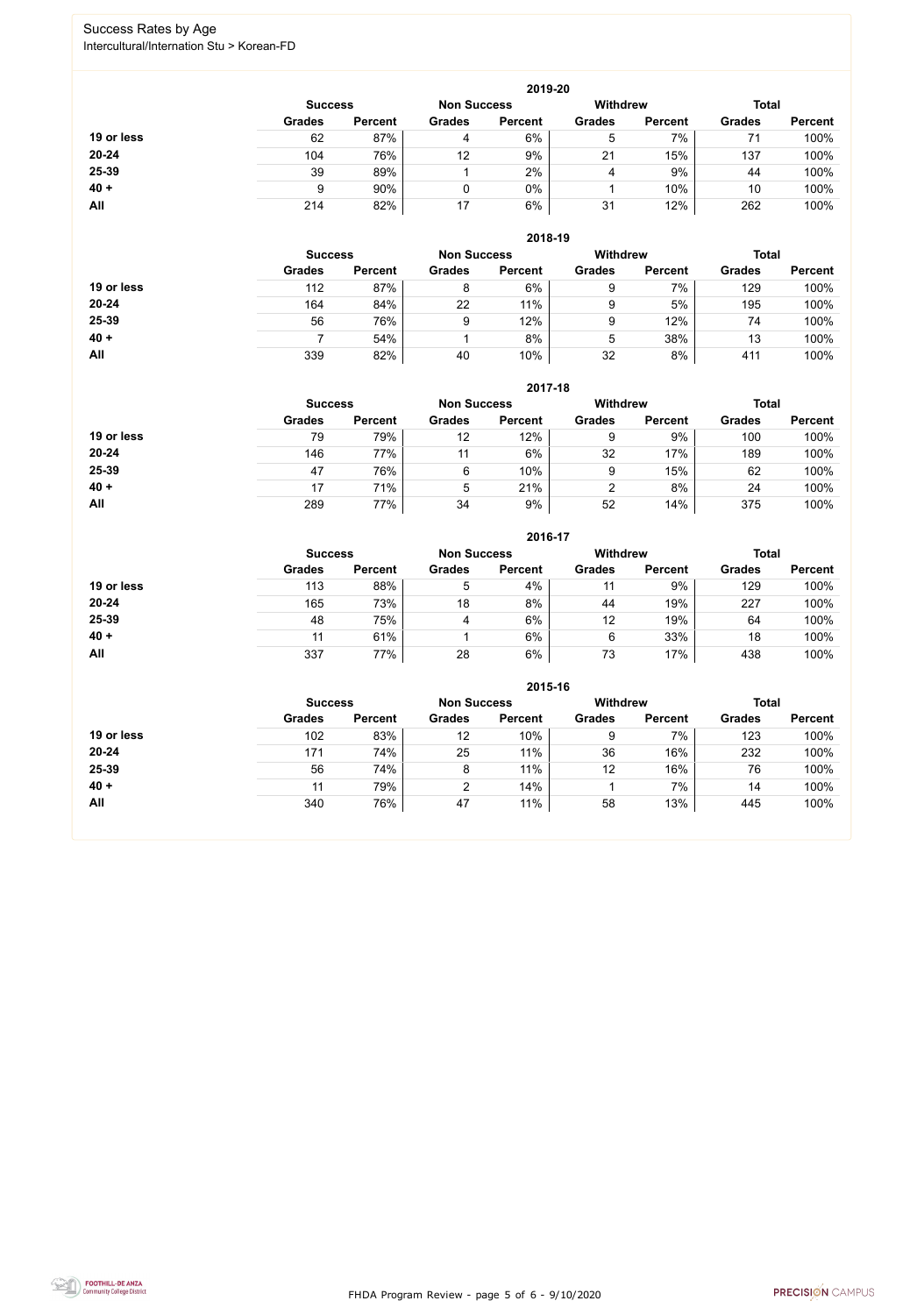FHDA Program Review - page 5 of 6 - 9/10/2020



## Success Rates by Age Intercultural/Internation Stu > Korean-FD

|            |                |                    |               | 2019-20         |               |                |               |                |
|------------|----------------|--------------------|---------------|-----------------|---------------|----------------|---------------|----------------|
|            | <b>Success</b> | <b>Non Success</b> |               | <b>Withdrew</b> |               | <b>Total</b>   |               |                |
|            | <b>Grades</b>  | <b>Percent</b>     | <b>Grades</b> | <b>Percent</b>  | <b>Grades</b> | <b>Percent</b> | <b>Grades</b> | <b>Percent</b> |
| 19 or less | 62             | 87%                | 4             | 6%              | 5             | 7%             | 71            | 100%           |
| $20 - 24$  | 104            | 76%                | 12            | 9%              | 21            | 15%            | 137           | 100%           |
| 25-39      | 39             | 89%                |               | 2%              | 4             | 9%             | 44            | 100%           |
| $40 +$     | 9              | 90%                |               | 0%              |               | 10%            | 10            | 100%           |
| All        | 214            | 82%                | 17            | 6%              | 31            | 12%            | 262           | 100%           |

|            |                |                    |               | 2018-19         |               |                |               |                |
|------------|----------------|--------------------|---------------|-----------------|---------------|----------------|---------------|----------------|
|            | <b>Success</b> | <b>Non Success</b> |               | <b>Withdrew</b> |               | <b>Total</b>   |               |                |
|            | <b>Grades</b>  | <b>Percent</b>     | <b>Grades</b> | <b>Percent</b>  | <b>Grades</b> | <b>Percent</b> | <b>Grades</b> | <b>Percent</b> |
| 19 or less | 112            | 87%                | 8             | 6%              | 9             | 7%             | 129           | 100%           |
| $20 - 24$  | 164            | 84%                | 22            | 11%             | 9             | 5%             | 195           | 100%           |
| 25-39      | 56             | 76%                | 9             | 12%             | 9             | 12%            | 74            | 100%           |
| $40 +$     |                | 54%                |               | 8%              | 5             | 38%            | 13            | 100%           |
| All        | 339            | 82%                | 40            | 10%             | 32            | 8%             | 411           | 100%           |

#### **2017-18**

|            |                |                    |               | 2017-18         |               |                |               |                |
|------------|----------------|--------------------|---------------|-----------------|---------------|----------------|---------------|----------------|
|            | <b>Success</b> | <b>Non Success</b> |               | <b>Withdrew</b> |               | <b>Total</b>   |               |                |
|            | <b>Grades</b>  | <b>Percent</b>     | <b>Grades</b> | <b>Percent</b>  | <b>Grades</b> | <b>Percent</b> | <b>Grades</b> | <b>Percent</b> |
| 19 or less | 79             | 79%                | 12            | 12%             | 9             | 9%             | 100           | 100%           |
| $20 - 24$  | 146            | 77%                | 11            | 6%              | 32            | 17%            | 189           | 100%           |
| 25-39      | 47             | 76%                | 6             | 10%             | 9             | 15%            | 62            | 100%           |
| $40 +$     | 17             | 71%                | 5             | 21%             |               | 8%             | 24            | 100%           |
| All        | 289            | 77%                | 34            | 9%              | 52            | 14%            | 375           | 100%           |

#### **2016-17**



|            |                |                    |               | ZU 10-17        |               |                |               |                |
|------------|----------------|--------------------|---------------|-----------------|---------------|----------------|---------------|----------------|
|            | <b>Success</b> | <b>Non Success</b> |               | <b>Withdrew</b> |               | <b>Total</b>   |               |                |
|            | <b>Grades</b>  | <b>Percent</b>     | <b>Grades</b> | <b>Percent</b>  | <b>Grades</b> | <b>Percent</b> | <b>Grades</b> | <b>Percent</b> |
| 19 or less | 113            | 88%                | 5             | 4%              | 11            | 9%             | 129           | 100%           |
| 20-24      | 165            | 73%                | 18            | 8%              | 44            | 19%            | 227           | 100%           |
| 25-39      | 48             | 75%                |               | 6%              | 12            | 19%            | 64            | 100%           |
| $40 +$     | 11             | 61%                |               | 6%              | 6             | 33%            | 18            | 100%           |
| All        | 337            | 77%                | 28            | 6%              | 73            | 17%            | 438           | 100%           |

|            |                                                         |                |                | 2015-16        |               |                |               |                |
|------------|---------------------------------------------------------|----------------|----------------|----------------|---------------|----------------|---------------|----------------|
|            | <b>Withdrew</b><br><b>Non Success</b><br><b>Success</b> |                |                |                |               |                | <b>Total</b>  |                |
|            | <b>Grades</b>                                           | <b>Percent</b> | <b>Grades</b>  | <b>Percent</b> | <b>Grades</b> | <b>Percent</b> | <b>Grades</b> | <b>Percent</b> |
| 19 or less | 102                                                     | 83%            | 12             | 10%            | 9             | 7%             | 123           | 100%           |
| $20 - 24$  | 17 <sup>′</sup>                                         | 74%            | 25             | 11%            | 36            | 16%            | 232           | 100%           |
| 25-39      | 56                                                      | 74%            | 8              | 11%            | 12            | 16%            | 76            | 100%           |
| $40 +$     | 11                                                      | 79%            | $\overline{2}$ | 14%            |               | 7%             | 14            | 100%           |
| All        | 340                                                     | 76%            | 47             | 11%            | 58            | 13%            | 445           | 100%           |